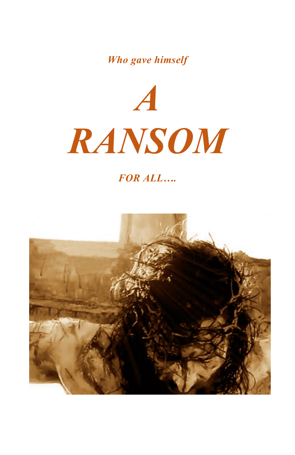*Who gave himself*

*A RANSOM*

### *FOR ALL….*

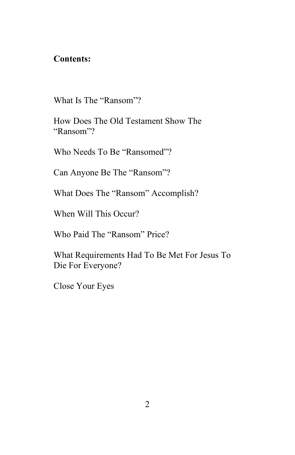#### **Contents:**

What Is The "Ransom"?

How Does The Old Testament Show The "Ransom"?

Who Needs To Be "Ransomed"?

Can Anyone Be The "Ransom"?

What Does The "Ransom" Accomplish?

When Will This Occur?

Who Paid The "Ransom" Price?

What Requirements Had To Be Met For Jesus To Die For Everyone?

Close Your Eyes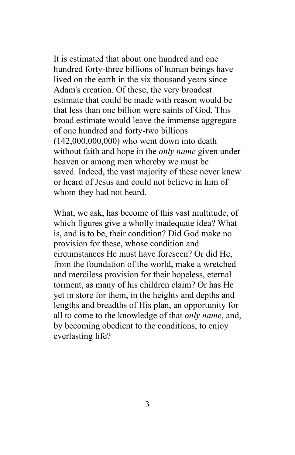It is estimated that about one hundred and one hundred forty-three billions of human beings have lived on the earth in the six thousand years since Adam's creation. Of these, the very broadest estimate that could be made with reason would be that less than one billion were saints of God. This broad estimate would leave the immense aggregate of one hundred and forty-two billions (142,000,000,000) who went down into death without faith and hope in the *only name* given under heaven or among men whereby we must be saved. Indeed, the vast majority of these never knew or heard of Jesus and could not believe in him of whom they had not heard.

What, we ask, has become of this vast multitude, of which figures give a wholly inadequate idea? What is, and is to be, their condition? Did God make no provision for these, whose condition and circumstances He must have foreseen? Or did He, from the foundation of the world, make a wretched and merciless provision for their hopeless, eternal torment, as many of his children claim? Or has He yet in store for them, in the heights and depths and lengths and breadths of His plan, an opportunity for all to come to the knowledge of that *only name*, and, by becoming obedient to the conditions, to enjoy everlasting life?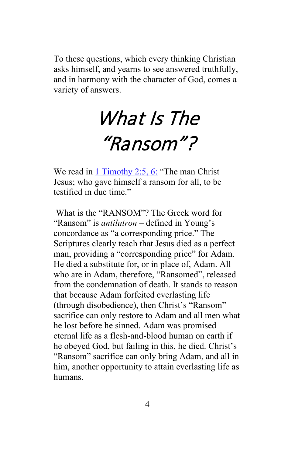To these questions, which every thinking Christian asks himself, and yearns to see answered truthfully, and in harmony with the character of God, comes a variety of answers.

## What Is The "Ransom"?

We read in 1 Timothy 2:5, 6: "The man Christ" Jesus; who gave himself a ransom for all, to be testified in due time."

What is the "RANSOM"? The Greek word for "Ransom" is *antilutron* – defined in Young's concordance as "a corresponding price." The Scriptures clearly teach that Jesus died as a perfect man, providing a "corresponding price" for Adam. He died a substitute for, or in place of, Adam. All who are in Adam, therefore, "Ransomed", released from the condemnation of death. It stands to reason that because Adam forfeited everlasting life (through disobedience), then Christ's "Ransom" sacrifice can only restore to Adam and all men what he lost before he sinned. Adam was promised eternal life as a flesh-and-blood human on earth if he obeyed God, but failing in this, he died. Christ's "Ransom" sacrifice can only bring Adam, and all in him, another opportunity to attain everlasting life as humans.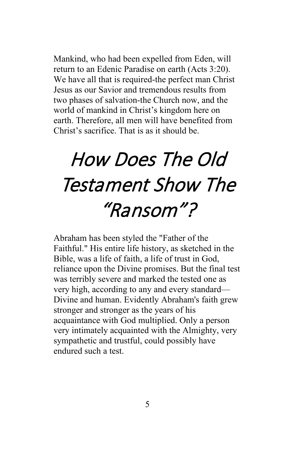Mankind, who had been expelled from Eden, will return to an Edenic Paradise on earth (Acts 3:20). We have all that is required-the perfect man Christ Jesus as our Savior and tremendous results from two phases of salvation-the Church now, and the world of mankind in Christ's kingdom here on earth. Therefore, all men will have benefited from Christ's sacrifice. That is as it should be.

# How Does The Old Testament Show The "Ransom"?

Abraham has been styled the "Father of the Faithful." His entire life history, as sketched in the Bible, was a life of faith, a life of trust in God, reliance upon the Divine promises. But the final test was terribly severe and marked the tested one as very high, according to any and every standard— Divine and human. Evidently Abraham's faith grew stronger and stronger as the years of his acquaintance with God multiplied. Only a person very intimately acquainted with the Almighty, very sympathetic and trustful, could possibly have endured such a test.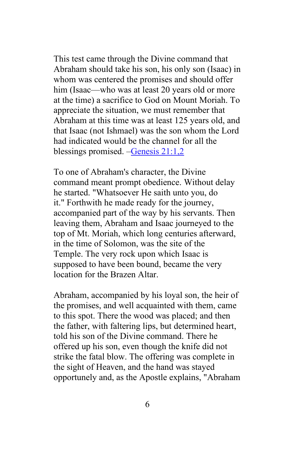This test came through the Divine command that Abraham should take his son, his only son (Isaac) in whom was centered the promises and should offer him (Isaac—who was at least 20 years old or more at the time) a sacrifice to God on Mount Moriah. To appreciate the situation, we must remember that Abraham at this time was at least 125 years old, and that Isaac (not Ishmael) was the son whom the Lord had indicated would be the channel for all the blessings promised. –Genesis 21:1,2

To one of Abraham's character, the Divine command meant prompt obedience. Without delay he started. "Whatsoever He saith unto you, do it." Forthwith he made ready for the journey, accompanied part of the way by his servants. Then leaving them, Abraham and Isaac journeyed to the top of Mt. Moriah, which long centuries afterward, in the time of Solomon, was the site of the Temple. The very rock upon which Isaac is supposed to have been bound, became the very location for the Brazen Altar.

Abraham, accompanied by his loyal son, the heir of the promises, and well acquainted with them, came to this spot. There the wood was placed; and then the father, with faltering lips, but determined heart, told his son of the Divine command. There he offered up his son, even though the knife did not strike the fatal blow. The offering was complete in the sight of Heaven, and the hand was stayed opportunely and, as the Apostle explains, "Abraham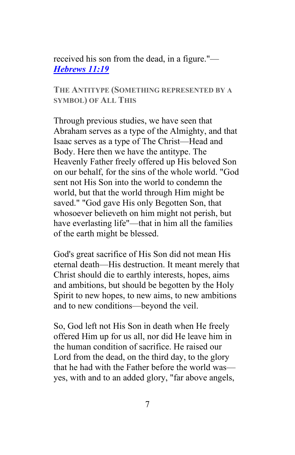received his son from the dead, in a figure."— *[Hebrews 11:19](http://www.htdb.one/KJVBible/htdb0058.htm#Heb11:19)*

#### **THE ANTITYPE (SOMETHING REPRESENTED BY A SYMBOL) OF ALL THIS**

Through previous studies, we have seen that Abraham serves as a type of the Almighty, and that Isaac serves as a type of The Christ—Head and Body. Here then we have the antitype. The Heavenly Father freely offered up His beloved Son on our behalf, for the sins of the whole world. "God sent not His Son into the world to condemn the world, but that the world through Him might be saved." "God gave His only Begotten Son, that whosoever believeth on him might not perish, but have everlasting life"—that in him all the families of the earth might be blessed.

God's great sacrifice of His Son did not mean His eternal death—His destruction. It meant merely that Christ should die to earthly interests, hopes, aims and ambitions, but should be begotten by the Holy Spirit to new hopes, to new aims, to new ambitions and to new conditions—beyond the veil.

So, God left not His Son in death when He freely offered Him up for us all, nor did He leave him in the human condition of sacrifice. He raised our Lord from the dead, on the third day, to the glory that he had with the Father before the world was yes, with and to an added glory, "far above angels,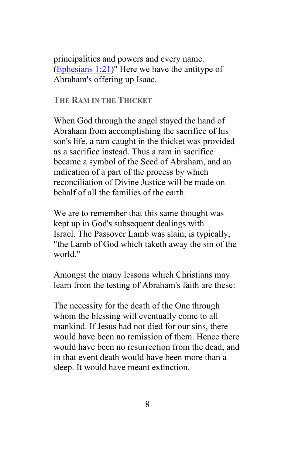principalities and powers and every name. (Ephesians 1:21)" Here we have the antitype of Abraham's offering up Isaac.

**THE RAM IN THE THICKET**

When God through the angel stayed the hand of Abraham from accomplishing the sacrifice of his son's life, a ram caught in the thicket was provided as a sacrifice instead. Thus a ram in sacrifice became a symbol of the Seed of Abraham, and an indication of a part of the process by which reconciliation of Divine Justice will be made on behalf of all the families of the earth.

We are to remember that this same thought was kept up in God's subsequent dealings with Israel. The Passover Lamb was slain, is typically, "the Lamb of God which taketh away the sin of the world."

Amongst the many lessons which Christians may learn from the testing of Abraham's faith are these:

The necessity for the death of the One through whom the blessing will eventually come to all mankind. If Jesus had not died for our sins, there would have been no remission of them. Hence there would have been no resurrection from the dead, and in that event death would have been more than a sleep. It would have meant extinction.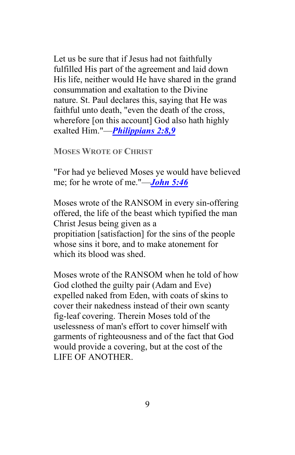Let us be sure that if Jesus had not faithfully fulfilled His part of the agreement and laid down His life, neither would He have shared in the grand consummation and exaltation to the Divine nature. St. Paul declares this, saying that He was faithful unto death, "even the death of the cross, wherefore [on this account] God also hath highly exalted Him."—*[Philippians 2:8,9](http://www.htdb.one/KJVBible/htdb0050.htm#Phil2:8)*

#### **MOSES WROTE OF CHRIST**

"For had ye believed Moses ye would have believed me; for he wrote of me."—*[John 5:46](http://www.htdb.one/KJVBible/htdb0043.htm#John5:46)*

Moses wrote of the RANSOM in every sin-offering offered, the life of the beast which typified the man Christ Jesus being given as a propitiation [satisfaction] for the sins of the people whose sins it bore, and to make atonement for which its blood was shed.

Moses wrote of the RANSOM when he told of how God clothed the guilty pair (Adam and Eve) expelled naked from Eden, with coats of skins to cover their nakedness instead of their own scanty fig-leaf covering. Therein Moses told of the uselessness of man's effort to cover himself with garments of righteousness and of the fact that God would provide a covering, but at the cost of the LIFE OF ANOTHER.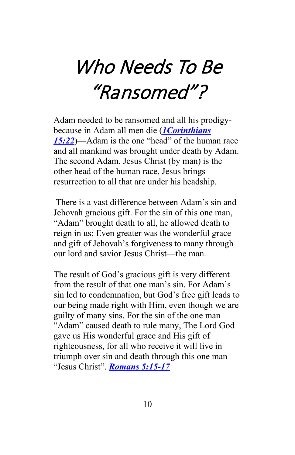## Who Needs To Be "Ransomed"?

Adam needed to be ransomed and all his prodigybecause in Adam all men die (*1Corinthians 15:22*)—Adam is the one "head" of the human race and all mankind was brought under death by Adam. The second Adam, Jesus Christ (by man) is the other head of the human race, Jesus brings resurrection to all that are under his headship.

There is a vast difference between Adam's sin and Jehovah gracious gift. For the sin of this one man, "Adam" brought death to all, he allowed death to reign in us; Even greater was the wonderful grace and gift of Jehovah's forgiveness to many through our lord and savior Jesus Christ—the man.

The result of God's gracious gift is very different from the result of that one man's sin. For Adam's sin led to condemnation, but God's free gift leads to our being made right with Him, even though we are guilty of many sins. For the sin of the one man "Adam" caused death to rule many, The Lord God gave us His wonderful grace and His gift of righteousness, for all who receive it will live in triumph over sin and death through this one man "Jesus Christ". *Romans 5:15-17*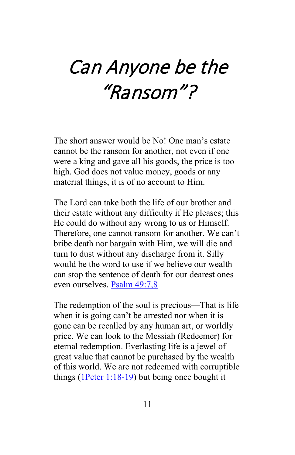## Can Anyone be the "Ransom"?

The short answer would be No! One man's estate cannot be the ransom for another, not even if one were a king and gave all his goods, the price is too high. God does not value money, goods or any material things, it is of no account to Him.

The Lord can take both the life of our brother and their estate without any difficulty if He pleases; this He could do without any wrong to us or Himself. Therefore, one cannot ransom for another. We can't bribe death nor bargain with Him, we will die and turn to dust without any discharge from it. Silly would be the word to use if we believe our wealth can stop the sentence of death for our dearest ones even ourselves. Psalm 49:7,8

The redemption of the soul is precious—That is life when it is going can't be arrested nor when it is gone can be recalled by any human art, or worldly price. We can look to the Messiah (Redeemer) for eternal redemption. Everlasting life is a jewel of great value that cannot be purchased by the wealth of this world. We are not redeemed with corruptible things (1Peter 1:18-19) but being once bought it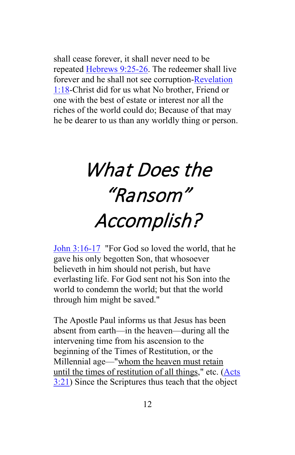shall cease forever, it shall never need to be repeated Hebrews 9:25-26. The redeemer shall live forever and he shall not see corruption-Revelation 1:18-Christ did for us what No brother, Friend or one with the best of estate or interest nor all the riches of the world could do; Because of that may he be dearer to us than any worldly thing or person.

## What Does the "Ransom" Accomplish?

John 3:16-17 "For God so loved the world, that he gave his only begotten Son, that whosoever believeth in him should not perish, but have everlasting life. For God sent not his Son into the world to condemn the world; but that the world through him might be saved."

The Apostle Paul informs us that Jesus has been absent from earth—in the heaven—during all the intervening time from his ascension to the beginning of the Times of Restitution, or the Millennial age—"whom the heaven must retain until the times of restitution of all things," etc. (Acts 3:21) Since the Scriptures thus teach that the object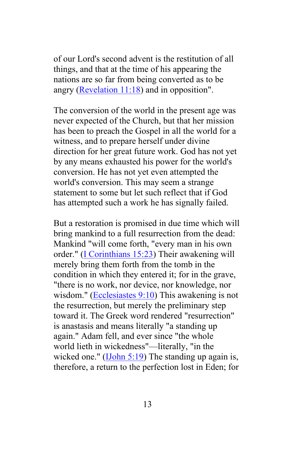of our Lord's second advent is the restitution of all things, and that at the time of his appearing the nations are so far from being converted as to be angry (Revelation 11:18) and in opposition".

The conversion of the world in the present age was never expected of the Church, but that her mission has been to preach the Gospel in all the world for a witness, and to prepare herself under divine direction for her great future work. God has not yet by any means exhausted his power for the world's conversion. He has not yet even attempted the world's conversion. This may seem a strange statement to some but let such reflect that if God has attempted such a work he has signally failed.

But a restoration is promised in due time which will bring mankind to a full resurrection from the dead: Mankind "will come forth, "every man in his own order." [\(I Corinthians](http://www.htdbv8.com/KJVBible/htdb0046.htm#1Cor15:23) 15:23) Their awakening will merely bring them forth from the tomb in the condition in which they entered it; for in the grave, "there is no work, nor device, nor knowledge, nor wisdom." [\(Ecclesiastes](http://www.htdbv8.com/KJVBible/htdb0021.htm#Eccl9:10) 9:10) This awakening is not the resurrection, but merely the preliminary step toward it. The Greek word rendered "resurrection" is anastasis and means literally "a standing up again." Adam fell, and ever since "the whole world lieth in wickedness"—literally, "in the wicked one." ( $lJohn 5:19$ ) The standing up again is,</u> therefore, a return to the perfection lost in Eden; for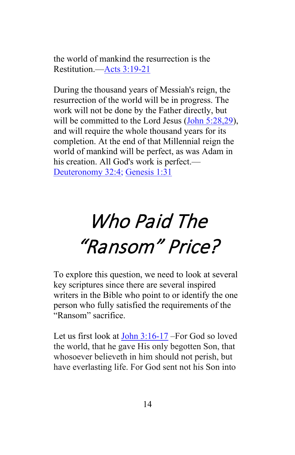the world of mankind the resurrection is the Restitution.[—Acts 3:19-21](http://www.htdbv8.com/KJVBible/htdb0044.htm#Acts3:19)

During the thousand years of Messiah's reign, the resurrection of the world will be in progress. The work will not be done by the Father directly, but will be committed to the Lord Jesus [\(John 5:28,29\)](http://www.htdbv8.com/KJVBible/htdb0043.htm#John5:28), and will require the whole thousand years for its completion. At the end of that Millennial reign the world of mankind will be perfect, as was Adam in his creation. All God's work is perfect.— [Deuteronomy](http://www.htdbv8.com/KJVBible/htdb0005.htm#Deut32:4) 32:4; [Genesis 1:31](http://www.htdbv8.com/KJVBible/htdb0001.htm#Gen1:31)

# Who Paid The "Ransom" Price?

To explore this question, we need to look at several key scriptures since there are several inspired writers in the Bible who point to or identify the one person who fully satisfied the requirements of the "Ransom" sacrifice.

Let us first look at John 3:16-17 –For God so loved the world, that he gave His only begotten Son, that whosoever believeth in him should not perish, but have everlasting life. For God sent not his Son into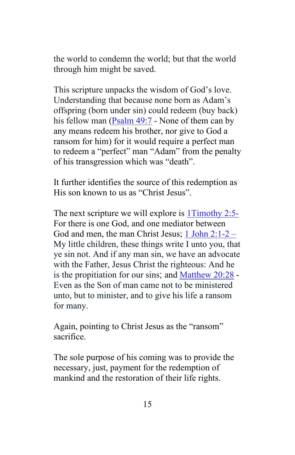the world to condemn the world; but that the world through him might be saved.

This scripture unpacks the wisdom of God's love. Understanding that because none born as Adam's offspring (born under sin) could redeem (buy back) his fellow man (Psalm 49:7 - None of them can by any means redeem his brother, nor give to God a ransom for him) for it would require a perfect man to redeem a "perfect" man "Adam" from the penalty of his transgression which was "death".

It further identifies the source of this redemption as His son known to us as "Christ Jesus".

The next scripture we will explore is 1Timothy 2:5-For there is one God, and one mediator between God and men, the man Christ Jesus;  $1$  John  $2:1-2-$ My little children, these things write I unto you, that ye sin not. And if any man sin, we have an advocate with the Father, Jesus Christ the righteous: And he is the propitiation for our sins; and Matthew 20:28 - Even as the Son of man came not to be ministered unto, but to minister, and to give his life a ransom for many.

Again, pointing to Christ Jesus as the "ransom" sacrifice.

The sole purpose of his coming was to provide the necessary, just, payment for the redemption of mankind and the restoration of their life rights.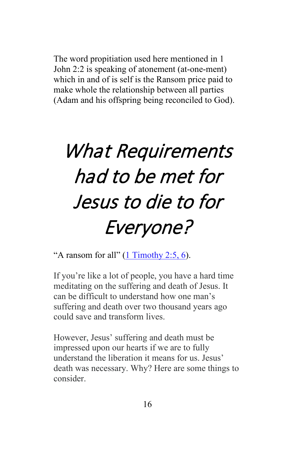The word propitiation used here mentioned in 1 John 2:2 is speaking of atonement (at-one-ment) which in and of is self is the Ransom price paid to make whole the relationship between all parties (Adam and his offspring being reconciled to God).

# What Requirements had to be met for Jesus to die to for Everyone?

"A ransom for all"  $(1$  Timothy 2:5, 6).

If you're like a lot of people, you have a hard time meditating on the suffering and death of Jesus. It can be difficult to understand how one man's suffering and death over two thousand years ago could save and transform lives.

However, Jesus' suffering and death must be impressed upon our hearts if we are to fully understand the liberation it means for us. Jesus' death was necessary. Why? Here are some things to consider.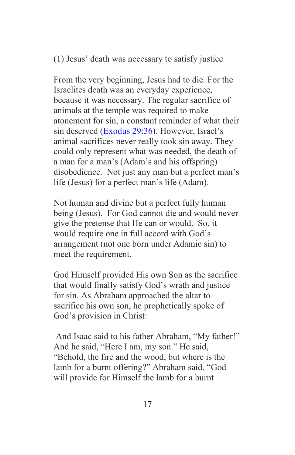(1) Jesus' death was necessary to satisfy justice

From the very beginning, Jesus had to die. For the Israelites death was an everyday experience, because it was necessary. The regular sacrifice of animals at the temple was required to make atonement for sin, a constant reminder of what their sin deserved [\(Exodus](https://biblia.com/bible/esv/Exod.%2029.36) 29:36). However, Israel's animal sacrifices never really took sin away. They could only represent what was needed, the death of a man for a man's (Adam's and his offspring) disobedience. Not just any man but a perfect man's life (Jesus) for a perfect man's life (Adam).

Not human and divine but a perfect fully human being (Jesus). For God cannot die and would never give the pretense that He can or would. So, it would require one in full accord with God's arrangement (not one born under Adamic sin) to meet the requirement.

God Himself provided His own Son as the sacrifice that would finally satisfy God's wrath and justice for sin. As Abraham approached the altar to sacrifice his own son, he prophetically spoke of God's provision in Christ:

And Isaac said to his father Abraham, "My father!" And he said, "Here I am, my son." He said, "Behold, the fire and the wood, but where is the lamb for a burnt offering?" Abraham said, "God will provide for Himself the lamb for a burnt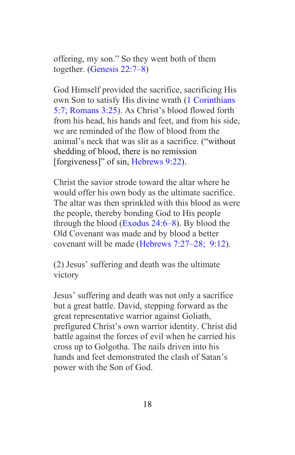offering, my son." So they went both of them together. [\(Genesis](https://biblia.com/bible/esv/Gen.%2022.7%E2%80%938) 22:7–8)

God Himself provided the sacrifice, sacrificing His own Son to satisfy His divine wrath [\(1 Corinthians](https://biblia.com/bible/esv/1%20Cor.%205.7) [5:7;](https://biblia.com/bible/esv/1%20Cor.%205.7) [Romans](https://biblia.com/bible/esv/Rom.%203.25) 3:25). As Christ's blood flowed forth from his head, his hands and feet, and from his side, we are reminded of the flow of blood from the animal's neck that was slit as a sacrifice. ("without shedding of blood, there is no remission [forgiveness]" of sin, Hebrews 9:22).

Christ the savior strode toward the altar where he would offer his own body as the ultimate sacrifice. The altar was then sprinkled with this blood as were the people, thereby bonding God to His people through the blood [\(Exodus](https://biblia.com/bible/esv/Exod.%2024.6%E2%80%938) 24:6–8). By blood the Old Covenant was made and by blood a better covenant will be made [\(Hebrews](https://biblia.com/bible/esv/Heb.%207.27%E2%80%9328) 7:27–28; [9:12\)](https://biblia.com/bible/esv/Heb.%209.12).

(2) Jesus' suffering and death was the ultimate victory

Jesus' suffering and death was not only a sacrifice but a great battle. David, stepping forward as the great representative warrior against Goliath, prefigured Christ's own warrior identity. Christ did battle against the forces of evil when he carried his cross up to Golgotha. The nails driven into his hands and feet demonstrated the clash of Satan's power with the Son of God.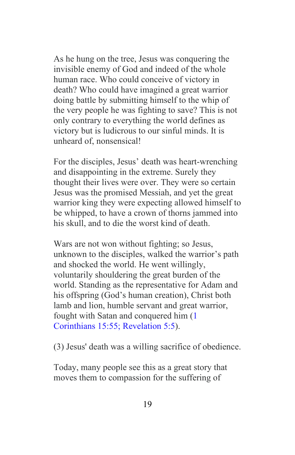As he hung on the tree, Jesus was conquering the invisible enemy of God and indeed of the whole human race. Who could conceive of victory in death? Who could have imagined a great warrior doing battle by submitting himself to the whip of the very people he was fighting to save? This is not only contrary to everything the world defines as victory but is ludicrous to our sinful minds. It is unheard of, nonsensical!

For the disciples, Jesus' death was heart-wrenching and disappointing in the extreme. Surely they thought their lives were over. They were so certain Jesus was the promised Messiah, and yet the great warrior king they were expecting allowed himself to be whipped, to have a crown of thorns jammed into his skull, and to die the worst kind of death.

Wars are not won without fighting; so Jesus, unknown to the disciples, walked the warrior's path and shocked the world. He went willingly, voluntarily shouldering the great burden of the world. Standing as the representative for Adam and his offspring (God's human creation), Christ both lamb and lion, humble servant and great warrior, fought with Satan and conquered him (1 Corinthians 15:55; [Revelation](https://biblia.com/bible/esv/Rev.%205.5) 5:5).

(3) Jesus' death was a willing sacrifice of obedience.

Today, many people see this as a great story that moves them to compassion for the suffering of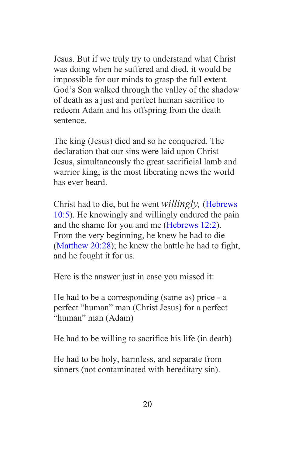Jesus. But if we truly try to understand what Christ was doing when he suffered and died, it would be impossible for our minds to grasp the full extent. God's Son walked through the valley of the shadow of death as a just and perfect human sacrifice to redeem Adam and his offspring from the death sentence.

The king (Jesus) died and so he conquered. The declaration that our sins were laid upon Christ Jesus, simultaneously the great sacrificial lamb and warrior king, is the most liberating news the world has ever heard.

Christ had to die, but he went *willingly,* (Hebrews 10:5). He knowingly and willingly endured the pain and the shame for you and me (Hebrews 12:2). From the very beginning, he knew he had to die (Matthew 20:28); he knew the battle he had to fight, and he fought it for us.

Here is the answer just in case you missed it:

He had to be a corresponding (same as) price - a perfect "human" man (Christ Jesus) for a perfect "human" man (Adam)

He had to be willing to sacrifice his life (in death)

He had to be holy, harmless, and separate from sinners (not contaminated with hereditary sin).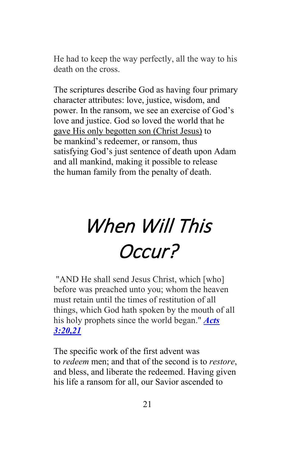He had to keep the way perfectly, all the way to his death on the cross.

The scriptures describe God as having four primary character attributes: love, justice, wisdom, and power. In the ransom, we see an exercise of God's love and justice. God so loved the world that he gave His only begotten son (Christ Jesus) to be mankind's redeemer, or ransom, thus satisfying God's just sentence of death upon Adam and all mankind, making it possible to release the human family from the penalty of death.

# When Will This Occur?

"AND He shall send Jesus Christ, which [who] before was preached unto you; whom the heaven must retain until the times of restitution of all things, which God hath spoken by the mouth of all his holy prophets since the world began." *[Acts](http://www.htdb.one/KJVBible/htdb0044.htm#Acts3:20)  [3:20,21](http://www.htdb.one/KJVBible/htdb0044.htm#Acts3:20)*

The specific work of the first advent was to *redeem* men; and that of the second is to *restore*, and bless, and liberate the redeemed. Having given his life a ransom for all, our Savior ascended to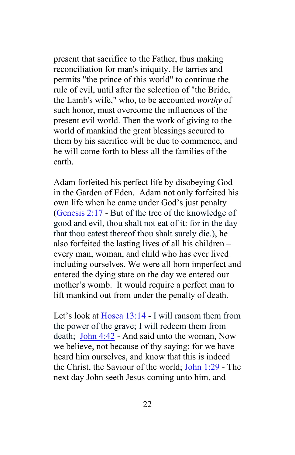present that sacrifice to the Father, thus making reconciliation for man's iniquity. He tarries and permits "the prince of this world" to continue the rule of evil, until after the selection of "the Bride, the Lamb's wife," who, to be accounted *worthy* of such honor, must overcome the influences of the present evil world. Then the work of giving to the world of mankind the great blessings secured to them by his sacrifice will be due to commence, and he will come forth to bless all the families of the earth.

Adam forfeited his perfect life by disobeying God in the Garden of Eden. Adam not only forfeited his own life when he came under God's just penalty (Genesis 2:17 - But of the tree of the knowledge of good and evil, thou shalt not eat of it: for in the day that thou eatest thereof thou shalt surely die.), he also forfeited the lasting lives of all his children – every man, woman, and child who has ever lived including ourselves. We were all born imperfect and entered the dying state on the day we entered our mother's womb. It would require a perfect man to lift mankind out from under the penalty of death.

Let's look at Hosea 13:14 - I will ransom them from the power of the grave; I will redeem them from death; John 4:42 - And said unto the woman, Now we believe, not because of thy saying: for we have heard him ourselves, and know that this is indeed the Christ, the Saviour of the world; John 1:29 - The next day John seeth Jesus coming unto him, and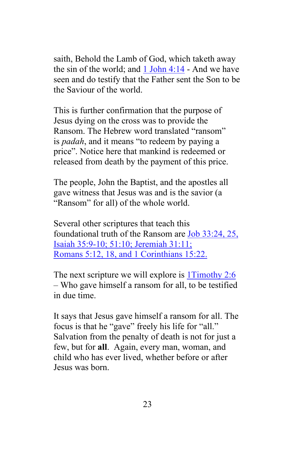saith, Behold the Lamb of God, which taketh away the sin of the world; and  $1$  John  $4:14$  - And we have seen and do testify that the Father sent the Son to be the Saviour of the world.

This is further confirmation that the purpose of Jesus dying on the cross was to provide the Ransom. The Hebrew word translated "ransom" is *padah*, and it means "to redeem by paying a price". Notice here that mankind is redeemed or released from death by the payment of this price.

The people, John the Baptist, and the apostles all gave witness that Jesus was and is the savior (a "Ransom" for all) of the whole world.

Several other scriptures that teach this foundational truth of the Ransom are Job 33:24, 25, Isaiah 35:9-10; 51:10; Jeremiah 31:11; Romans 5:12, 18, and 1 Corinthians 15:22.

The next scripture we will explore is 1Timothy 2:6 – Who gave himself a ransom for all, to be testified in due time.

It says that Jesus gave himself a ransom for all. The focus is that he "gave" freely his life for "all." Salvation from the penalty of death is not for just a few, but for **all**. Again, every man, woman, and child who has ever lived, whether before or after Jesus was born.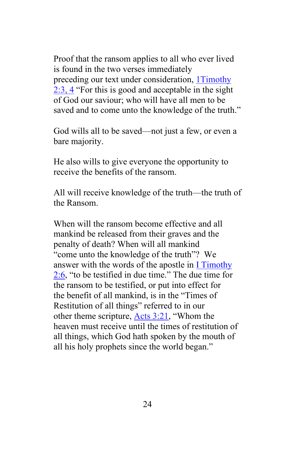Proof that the ransom applies to all who ever lived is found in the two verses immediately preceding our text under consideration, 1Timothy 2:3, 4 "For this is good and acceptable in the sight of God our saviour; who will have all men to be saved and to come unto the knowledge of the truth."

God wills all to be saved—not just a few, or even a bare majority.

He also wills to give everyone the opportunity to receive the benefits of the ransom.

All will receive knowledge of the truth—the truth of the Ransom.

When will the ransom become effective and all mankind be released from their graves and the penalty of death? When will all mankind "come unto the knowledge of the truth"? We answer with the words of the apostle in I Timothy 2:6, "to be testified in due time." The due time for the ransom to be testified, or put into effect for the benefit of all mankind, is in the "Times of Restitution of all things" referred to in our other theme scripture, Acts 3:21, "Whom the heaven must receive until the times of restitution of all things, which God hath spoken by the mouth of all his holy prophets since the world began."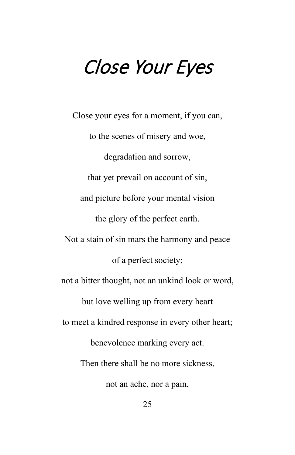### Close Your Eyes

Close your eyes for a moment, if you can, to the scenes of misery and woe, degradation and sorrow, that yet prevail on account of sin, and picture before your mental vision the glory of the perfect earth. Not a stain of sin mars the harmony and peace of a perfect society; not a bitter thought, not an unkind look or word, but love welling up from every heart to meet a kindred response in every other heart; benevolence marking every act. Then there shall be no more sickness, not an ache, nor a pain,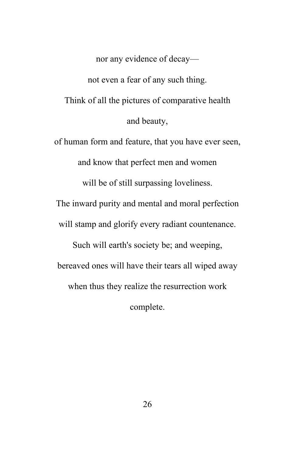nor any evidence of decay not even a fear of any such thing. Think of all the pictures of comparative health and beauty,

of human form and feature, that you have ever seen, and know that perfect men and women will be of still surpassing loveliness. The inward purity and mental and moral perfection will stamp and glorify every radiant countenance. Such will earth's society be; and weeping, bereaved ones will have their tears all wiped away when thus they realize the resurrection work

complete.